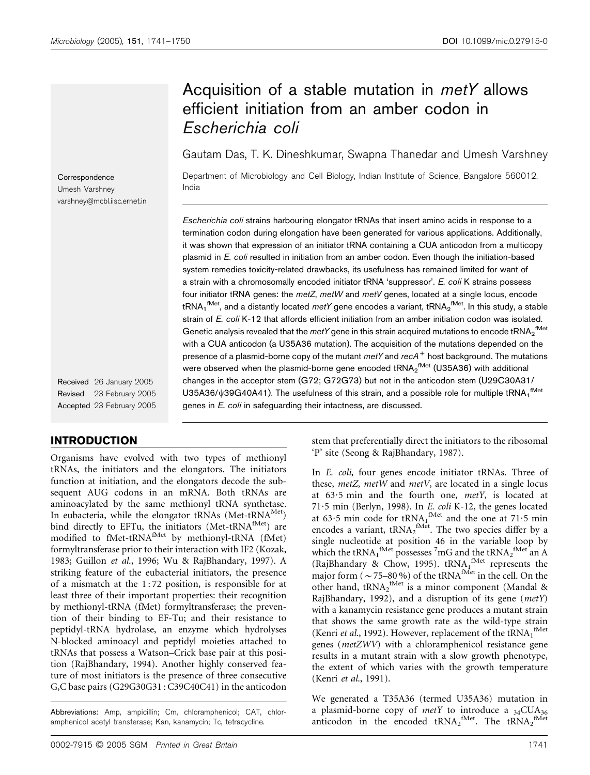# Acquisition of a stable mutation in metY allows efficient initiation from an amber codon in Escherichia coli

Gautam Das, T. K. Dineshkumar, Swapna Thanedar and Umesh Varshney

Department of Microbiology and Cell Biology, Indian Institute of Science, Bangalore 560012, India

Escherichia coli strains harbouring elongator tRNAs that insert amino acids in response to a termination codon during elongation have been generated for various applications. Additionally, it was shown that expression of an initiator tRNA containing a CUA anticodon from a multicopy plasmid in E. coli resulted in initiation from an amber codon. Even though the initiation-based system remedies toxicity-related drawbacks, its usefulness has remained limited for want of a strain with a chromosomally encoded initiator tRNA 'suppressor'. E. coli K strains possess four initiator tRNA genes: the metZ, metW and metV genes, located at a single locus, encode tRNA $_1^{\sf fMet}$ , and a distantly located  $metY$  gene encodes a variant, tRNA $_2^{\sf fMet}$ . In this study, a stable strain of E. coli K-12 that affords efficient initiation from an amber initiation codon was isolated. Genetic analysis revealed that the  $m$ etY gene in this strain acquired mutations to encode tRNA $_2^{\,\mathrm{fMet}}$ with a CUA anticodon (a U35A36 mutation). The acquisition of the mutations depended on the presence of a plasmid-borne copy of the mutant  $m e tY$  and  $re cA^+$  host background. The mutations were observed when the plasmid-borne gene encoded tRNA $_2^{\, \mathrm{fMet}}$  (U35A36) with additional changes in the acceptor stem (G72; G72G73) but not in the anticodon stem (U29C30A31/ U35A36/ $\psi$ 39G40A41). The usefulness of this strain, and a possible role for multiple tRNA<sub>1</sub>f<sup>Met</sup> genes in E. coli in safeguarding their intactness, are discussed.

Received 26 January 2005 Revised 23 February 2005 Accepted 23 February 2005

# INTRODUCTION

Correspondence Umesh Varshney

varshney@mcbl.iisc.ernet.in

Organisms have evolved with two types of methionyl tRNAs, the initiators and the elongators. The initiators function at initiation, and the elongators decode the subsequent AUG codons in an mRNA. Both tRNAs are aminoacylated by the same methionyl tRNA synthetase. In eubacteria, while the elongator tRNAs (Met-tRNA<sup>Met</sup>) bind directly to EFTu, the initiators (Met-tRNA<sup>fMet</sup>) are modified to fMet-tRNA<sup>fMet</sup> by methionyl-tRNA (fMet) formyltransferase prior to their interaction with IF2 (Kozak, 1983; Guillon et al., 1996; Wu & RajBhandary, 1997). A striking feature of the eubacterial initiators, the presence of a mismatch at the 1 : 72 position, is responsible for at least three of their important properties: their recognition by methionyl-tRNA (fMet) formyltransferase; the prevention of their binding to EF-Tu; and their resistance to peptidyl-tRNA hydrolase, an enzyme which hydrolyses N-blocked aminoacyl and peptidyl moieties attached to tRNAs that possess a Watson–Crick base pair at this position (RajBhandary, 1994). Another highly conserved feature of most initiators is the presence of three consecutive G,C base pairs (G29G30G31 : C39C40C41) in the anticodon

Abbreviations: Amp, ampicillin; Cm, chloramphenicol; CAT, chloramphenicol acetyl transferase; Kan, kanamycin; Tc, tetracycline.

stem that preferentially direct the initiators to the ribosomal 'P' site (Seong & RajBhandary, 1987).

In E. coli, four genes encode initiator tRNAs. Three of these, metZ, metW and metV, are located in a single locus at  $63.5$  min and the fourth one,  $metY$ , is located at 71?5 min (Berlyn, 1998). In E. coli K-12, the genes located at 63.5 min code for  $tRNA_1^{fMet}$  and the one at 71.5 min encodes a variant,  $tRNA_2^{fMet}$ . The two species differ by a single nucleotide at position 46 in the variable loop by which the tRNA<sub>1</sub><sup>fMet</sup> possesses <sup>7</sup>mG and the tRNA<sub>2</sub><sup>fMet</sup> an A (RajBhandary & Chow, 1995).  $tRNA<sub>1</sub><sup>fMet</sup>$  represents the major form ( $\sim$  75–80 %) of the tRNA<sup>fMet</sup> in the cell. On the other hand,  $tRNA_2^{Met}$  is a minor component (Mandal & RajBhandary, 1992), and a disruption of its gene  $(metY)$ with a kanamycin resistance gene produces a mutant strain that shows the same growth rate as the wild-type strain (Kenri et al., 1992). However, replacement of the tRNA $_1^{\rm fMet}$ genes (metZWV) with a chloramphenicol resistance gene results in a mutant strain with a slow growth phenotype, the extent of which varies with the growth temperature (Kenri et al., 1991).

We generated a T35A36 (termed U35A36) mutation in a plasmid-borne copy of metY to introduce a  $_{34}$ CUA<sub>36</sub> anticodon in the encoded  $tRNA_2^{fMet}$ . The  $tRNA_2^{fMet}$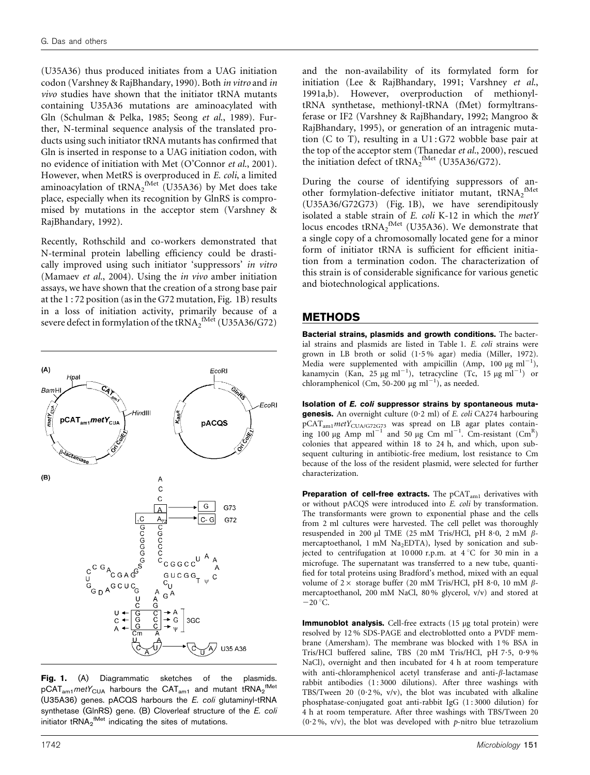(U35A36) thus produced initiates from a UAG initiation codon (Varshney & RajBhandary, 1990). Both in vitro and in vivo studies have shown that the initiator tRNA mutants containing U35A36 mutations are aminoacylated with Gln (Schulman & Pelka, 1985; Seong et al., 1989). Further, N-terminal sequence analysis of the translated products using such initiator tRNA mutants has confirmed that Gln is inserted in response to a UAG initiation codon, with no evidence of initiation with Met (O'Connor et al., 2001). However, when MetRS is overproduced in E. coli, a limited aminoacylation of  $tRNA_2^{fMet}$  (U35A36) by Met does take place, especially when its recognition by GlnRS is compromised by mutations in the acceptor stem (Varshney & RajBhandary, 1992).

Recently, Rothschild and co-workers demonstrated that N-terminal protein labelling efficiency could be drastically improved using such initiator 'suppressors' in vitro (Mamaev et al., 2004). Using the *in vivo* amber initiation assays, we have shown that the creation of a strong base pair at the 1 : 72 position (as in the G72 mutation, Fig. 1B) results in a loss of initiation activity, primarily because of a severe defect in formylation of the tRNA2  $^{\text{fMet}}$  (U35A36/G72)



Fig. 1. (A) Diagrammatic sketches of the plasmids.  $\tt pCAT_{am1}metY^{}_{\rm CUA}$  harbours the  $CAT_{am1}$  and mutant t $\mathsf{RNA}^{\textrm{-fMet}}_{2}$ (U35A36) genes. pACQS harbours the E. coli glutaminyl-tRNA synthetase (GlnRS) gene. (B) Cloverleaf structure of the E. coli initiator  $t\mathsf{RNA}_{2}^{f\mathsf{M\acute{e}t}}$  indicating the sites of mutations.

and the non-availability of its formylated form for initiation (Lee & RajBhandary, 1991; Varshney et al., 1991a,b). However, overproduction of methionyltRNA synthetase, methionyl-tRNA (fMet) formyltransferase or IF2 (Varshney & RajBhandary, 1992; Mangroo & RajBhandary, 1995), or generation of an intragenic mutation  $(C$  to T), resulting in a  $U1:G72$  wobble base pair at the top of the acceptor stem (Thanedar et al., 2000), rescued the initiation defect of  $tRNA_2^{fMet}$  (U35A36/G72).

During the course of identifying suppressors of another formylation-defective initiator mutant, tRNA<sub>2</sub><sup>fMet</sup> (U35A36/G72G73) (Fig. 1B), we have serendipitously isolated a stable strain of E. coli K-12 in which the metY locus encodes  $tRNA_2^{fMet}$  (U35A36). We demonstrate that a single copy of a chromosomally located gene for a minor form of initiator tRNA is sufficient for efficient initiation from a termination codon. The characterization of this strain is of considerable significance for various genetic and biotechnological applications.

### METHODS

Bacterial strains, plasmids and growth conditions. The bacterial strains and plasmids are listed in Table 1. E. coli strains were grown in LB broth or solid (1.5% agar) media (Miller, 1972). Media were supplemented with ampicillin (Amp, 100  $\mu$ g ml<sup>-1</sup>), kanamycin (Kan, 25 µg ml<sup>-1</sup>), tetracycline (Tc, 15 µg ml<sup>-1</sup>) or chloramphenicol (Cm, 50-200 µg ml<sup>-1</sup>), as needed.

Isolation of E. coli suppressor strains by spontaneous muta**genesis.** An overnight culture  $(0.2 \text{ ml})$  of *E. coli* CA274 harbouring pCAT<sub>am1</sub> metY<sub>CUA/G72G73</sub> was spread on LB agar plates containing 100 µg Amp ml<sup>-1</sup> and 50 µg Cm ml<sup>-1</sup>. Cm-resistant (Cm<sup>R</sup>) colonies that appeared within 18 to 24 h, and which, upon subsequent culturing in antibiotic-free medium, lost resistance to Cm because of the loss of the resident plasmid, were selected for further characterization.

**Preparation of cell-free extracts.** The  $pCAT_{am1}$  derivatives with or without pACQS were introduced into E. coli by transformation. The transformants were grown to exponential phase and the cells from 2 ml cultures were harvested. The cell pellet was thoroughly resuspended in 200 µl TME (25 mM Tris/HCl, pH 8.0, 2 mM  $\beta$ mercaptoethanol, 1 mM Na<sub>2</sub>EDTA), lysed by sonication and subjected to centrifugation at 10 000 r.p.m. at  $4^{\circ}$ C for 30 min in a microfuge. The supernatant was transferred to a new tube, quantified for total proteins using Bradford's method, mixed with an equal volume of  $2 \times$  storage buffer (20 mM Tris/HCl, pH 8.0, 10 mM  $\beta$ mercaptoethanol, 200 mM NaCl, 80 % glycerol, v/v) and stored at  $-20^{\circ}$ C.

**Immunoblot analysis.** Cell-free extracts (15 ug total protein) were resolved by 12 % SDS-PAGE and electroblotted onto a PVDF membrane (Amersham). The membrane was blocked with 1 % BSA in Tris/HCl buffered saline, TBS (20 mM Tris/HCl, pH 7?5, 0?9 % NaCl), overnight and then incubated for 4 h at room temperature with anti-chloramphenicol acetyl transferase and anti- $\beta$ -lactamase rabbit antibodies (1 : 3000 dilutions). After three washings with TBS/Tween 20  $(0.2\%, v/v)$ , the blot was incubated with alkaline phosphatase-conjugated goat anti-rabbit IgG (1 : 3000 dilution) for 4 h at room temperature. After three washings with TBS/Tween 20  $(0.2\%, v/v)$ , the blot was developed with p-nitro blue tetrazolium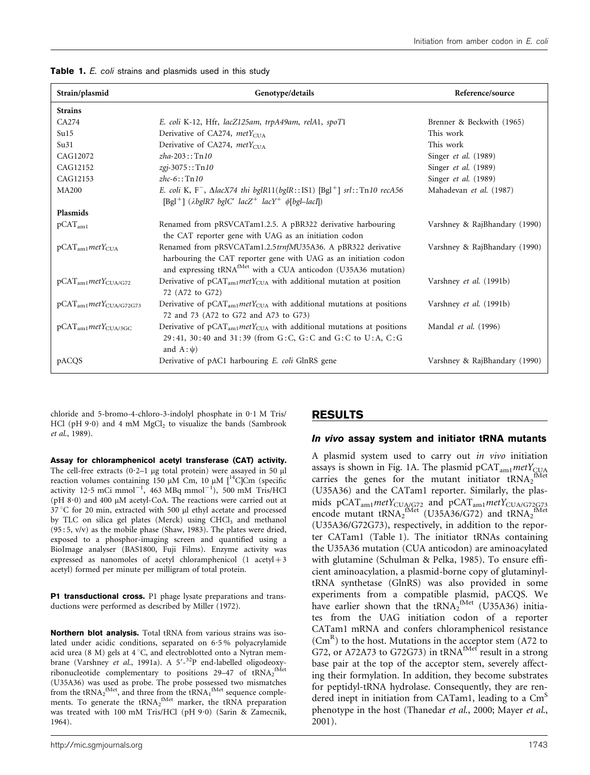| Strain/plasmid                           | Genotype/details                                                                                                                                                                                              | Reference/source              |
|------------------------------------------|---------------------------------------------------------------------------------------------------------------------------------------------------------------------------------------------------------------|-------------------------------|
| <b>Strains</b>                           |                                                                                                                                                                                                               |                               |
| CA274                                    | E. coli K-12, Hfr, lacZ125am, trpA49am, relA1, spoT1                                                                                                                                                          | Brenner & Beckwith (1965)     |
| Su15                                     | Derivative of CA274, $metY_{\text{CUA}}$                                                                                                                                                                      | This work                     |
| Su31                                     | Derivative of CA274, $metY_{\text{CUA}}$                                                                                                                                                                      | This work                     |
| CAG12072                                 | $zha-203::Tn10$                                                                                                                                                                                               | Singer et al. (1989)          |
| CAG12152                                 | $zgi-3075::Tn10$                                                                                                                                                                                              | Singer et al. (1989)          |
| CAG12153                                 | $zhc-6::Tn10$                                                                                                                                                                                                 | Singer et al. (1989)          |
| <b>MA200</b>                             | E. coli K, F <sup>-</sup> , $\Delta$ lacX74 thi bglR11(bglR::IS1) [Bgl <sup>+</sup> ] srl::Tn10 recA56<br>$[Bgl^+]$ ( $\lambda bgIR7$ $bgIC'$ $lacZ^+$ $lacY^+$ $\phi$ $[bgl\text{-}lacI]$ )                  | Mahadevan et al. (1987)       |
| Plasmids                                 |                                                                                                                                                                                                               |                               |
| $pCAT_{am1}$                             | Renamed from pRSVCATam1.2.5. A pBR322 derivative harbouring<br>the CAT reporter gene with UAG as an initiation codon                                                                                          | Varshney & RajBhandary (1990) |
| $pCAT_{am1}metY_{CUA}$                   | Renamed from pRSVCATam1.2.5trnfMU35A36. A pBR322 derivative<br>harbouring the CAT reporter gene with UAG as an initiation codon<br>and expressing tRNA <sup>fMet</sup> with a CUA anticodon (U35A36 mutation) | Varshney & RajBhandary (1990) |
| $pCAT_{am1}metYCUA/G72$                  | Derivative of pCAT <sub>am1</sub> metY <sub>CUA</sub> with additional mutation at position<br>72 (A72 to G72)                                                                                                 | Varshney et al. (1991b)       |
| $pCAT_{am1}$ met $Y_{\text{CUA/G72G73}}$ | Derivative of $pCAT_{am1}metY_{CUA}$ with additional mutations at positions<br>72 and 73 (A72 to G72 and A73 to G73)                                                                                          | Varshney et al. (1991b)       |
| $pCAT_{am1}metY_{CLIA/3GC}$              | Derivative of $pCAT_{am1}metY_{CLIA}$ with additional mutations at positions<br>29:41, 30:40 and 31:39 (from G:C, G:C and G:C to U:A, C:G<br>and $A: \psi$                                                    | Mandal et al. (1996)          |
| pACQS                                    | Derivative of pAC1 harbouring E. coli GlnRS gene                                                                                                                                                              | Varshney & RajBhandary (1990) |

Table 1. E. coli strains and plasmids used in this study

chloride and 5-bromo-4-chloro-3-indolyl phosphate in 0?1 M Tris/ HCl (pH 9.0) and 4 mM MgCl<sub>2</sub> to visualize the bands (Sambrook et al., 1989).

Assay for chloramphenicol acetyl transferase (CAT) activity. The cell-free extracts (0.2–1 µg total protein) were assayed in 50  $\mu$ l reaction volumes containing 150  $\mu$ M Cm, 10  $\mu$ M [<sup>14</sup>C]Cm (specific activity 12.5 mCi mmol<sup>-1</sup>, 463 MBq mmol<sup>-1</sup>), 500 mM Tris/HCl ( $pH$  8 $\cdot$ 0) and 400  $\mu$ M acetyl-CoA. The reactions were carried out at  $37^{\circ}$ C for 20 min, extracted with 500 µl ethyl acetate and processed by TLC on silica gel plates (Merck) using CHCl<sub>3</sub> and methanol  $(95:5, v/v)$  as the mobile phase (Shaw, 1983). The plates were dried, exposed to a phosphor-imaging screen and quantified using a BioImage analyser (BAS1800, Fuji Films). Enzyme activity was expressed as nanomoles of acetyl chloramphenicol  $(1 \text{ acetyl}+3$ acetyl) formed per minute per milligram of total protein.

P1 transductional cross. P1 phage lysate preparations and transductions were performed as described by Miller (1972).

Northern blot analysis. Total tRNA from various strains was isolated under acidic conditions, separated on 6.5% polyacrylamide acid urea (8 M) gels at  $4^{\circ}$ C, and electroblotted onto a Nytran membrane (Varshney et al., 1991a). A 5'-<sup>32</sup>P end-labelled oligodeoxyribonucleotide complementary to positions 29-47 of  $tRNA<sub>2</sub>$ <sup>Met</sup> (U35A36) was used as probe. The probe possessed two mismatches from the tRNA<sub>2</sub><sup>fMet</sup>, and three from the tRNA<sub>1</sub><sup>fMet</sup> sequence complements. To generate the  $tRNA_2$ <sup>fMet</sup> marker, the tRNA preparation was treated with 100 mM Tris/HCl (pH 9.0) (Sarin & Zamecnik, 1964).

# RESULTS

#### In vivo assay system and initiator tRNA mutants

A plasmid system used to carry out in vivo initiation assays is shown in Fig. 1A. The plasmid pCAT $_{\rm am1}$ met $Y_{\rm CUA}$ carries the genes for the mutant initiator  $tRNA_2^{fMet}$ (U35A36) and the CATam1 reporter. Similarly, the plasmids  $pCAT_{am1}metY<sub>CUA/G72</sub>$  and  $pCAT_{am1}metY<sub>CUA/G72G73</sub>$ encode mutant  $tRNA_2^{fMet}$  (U35A36/G72) and  $tRNA_2^{fMet}$ (U35A36/G72G73), respectively, in addition to the reporter CATam1 (Table 1). The initiator tRNAs containing the U35A36 mutation (CUA anticodon) are aminoacylated with glutamine (Schulman & Pelka, 1985). To ensure efficient aminoacylation, a plasmid-borne copy of glutaminyltRNA synthetase (GlnRS) was also provided in some experiments from a compatible plasmid, pACQS. We have earlier shown that the  $tRNA<sub>2</sub><sup>fMet</sup>$  (U35A36) initiates from the UAG initiation codon of a reporter CATam1 mRNA and confers chloramphenicol resistance  $(Cm<sup>R</sup>)$  to the host. Mutations in the acceptor stem (A72 to G72, or A72A73 to G72G73) in tRNA<sup>fMet</sup> result in a strong base pair at the top of the acceptor stem, severely affecting their formylation. In addition, they become substrates for peptidyl-tRNA hydrolase. Consequently, they are rendered inept in initiation from CATam1, leading to a  $\text{Cm}^s$ phenotype in the host (Thanedar et al., 2000; Mayer et al., 2001).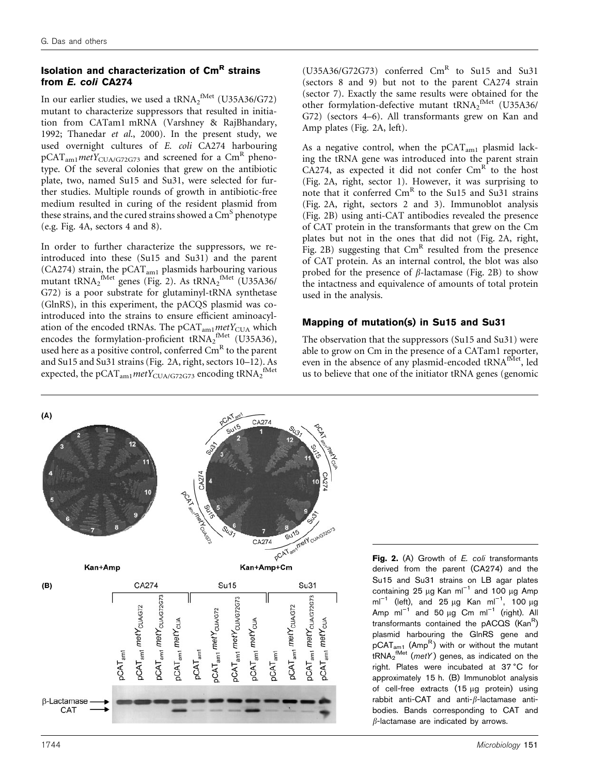#### Isolation and characterization of Cm<sup>R</sup> strains from E. coli CA274

In our earlier studies, we used a  $\text{tRNA}_2^{\text{ fMet}}$  (U35A36/G72) mutant to characterize suppressors that resulted in initiation from CATam1 mRNA (Varshney & RajBhandary, 1992; Thanedar et al., 2000). In the present study, we used overnight cultures of E. coli CA274 harbouring  $pCAT_{am1}metY_{CUA/G72G73}$  and screened for a Cm<sup>R</sup> phenotype. Of the several colonies that grew on the antibiotic plate, two, named Su15 and Su31, were selected for further studies. Multiple rounds of growth in antibiotic-free medium resulted in curing of the resident plasmid from these strains, and the cured strains showed a Cm<sup>S</sup> phenotype (e.g. Fig. 4A, sectors 4 and 8).

In order to further characterize the suppressors, we reintroduced into these (Su15 and Su31) and the parent (CA274) strain, the  $pCAT<sub>am1</sub>$  plasmids harbouring various mutant  $tRNA_2^{fMet}$  genes (Fig. 2). As  $tRNA_2^{fMet}$  (U35A36/ G72) is a poor substrate for glutaminyl-tRNA synthetase (GlnRS), in this experiment, the pACQS plasmid was cointroduced into the strains to ensure efficient aminoacylation of the encoded tRNAs. The pCAT<sub>am1</sub> metY<sub>CUA</sub> which encodes the formylation-proficient tRNA<sub>2</sub><sup>fMet</sup> (U35A36), used here as a positive control, conferred  $\text{Cm}^R$  to the parent and Su15 and Su31 strains (Fig. 2A, right, sectors 10–12). As expected, the pCAT<sub>am1</sub> metY<sub>CUA/G72G73</sub> encoding tRNA<sub>2</sub><sup>fMet</sup>

 $(U35A36/G72G73)$  conferred  $\text{Cm}^R$  to Su15 and Su31 (sectors 8 and 9) but not to the parent CA274 strain (sector 7). Exactly the same results were obtained for the other formylation-defective mutant tRNA<sub>2</sub><sup>fMet</sup> (U35A36/ G72) (sectors 4–6). All transformants grew on Kan and Amp plates (Fig. 2A, left).

As a negative control, when the  $pCAT_{am1}$  plasmid lacking the tRNA gene was introduced into the parent strain  $CA274$ , as expected it did not confer  $\text{Cm}^R$  to the host (Fig. 2A, right, sector 1). However, it was surprising to note that it conferred  $\text{Cm}^R$  to the Su15 and Su31 strains (Fig. 2A, right, sectors 2 and 3). Immunoblot analysis (Fig. 2B) using anti-CAT antibodies revealed the presence of CAT protein in the transformants that grew on the Cm plates but not in the ones that did not (Fig. 2A, right, Fig. 2B) suggesting that  $\text{Cm}^R$  resulted from the presence of CAT protein. As an internal control, the blot was also probed for the presence of  $\beta$ -lactamase (Fig. 2B) to show the intactness and equivalence of amounts of total protein used in the analysis.

#### Mapping of mutation(s) in Su15 and Su31

The observation that the suppressors (Su15 and Su31) were able to grow on Cm in the presence of a CATam1 reporter, even in the absence of any plasmid-encoded tRNA<sup>fMet</sup>, led us to believe that one of the initiator tRNA genes (genomic



Fig. 2. (A) Growth of E. coli transformants derived from the parent (CA274) and the Su15 and Su31 strains on LB agar plates containing 25  $\mu$ g Kan ml<sup>-1</sup> and 100  $\mu$ g Amp ml $^{-1}$  (left), and 25  $\mu$ g Kan ml $^{-1}$ , 100  $\mu$ g Amp  $ml^{-1}$  and 50  $\mu$ g Cm  $ml^{-1}$  (right). All transformants contained the pACQS (Kan<sup>R</sup>) plasmid harbouring the GlnRS gene and  $pCAT_{am1}$  (Amp<sup>R</sup>) with or without the mutant tRNA $_{2}^{\mathrm{fMet}}$  (*metY* ) genes, as indicated on the right. Plates were incubated at 37 °C for approximately 15 h. (B) Immunoblot analysis of cell-free extracts  $(15 \mu g$  protein) using rabbit anti-CAT and anti- $\beta$ -lactamase antibodies. Bands corresponding to CAT and  $\beta$ -lactamase are indicated by arrows.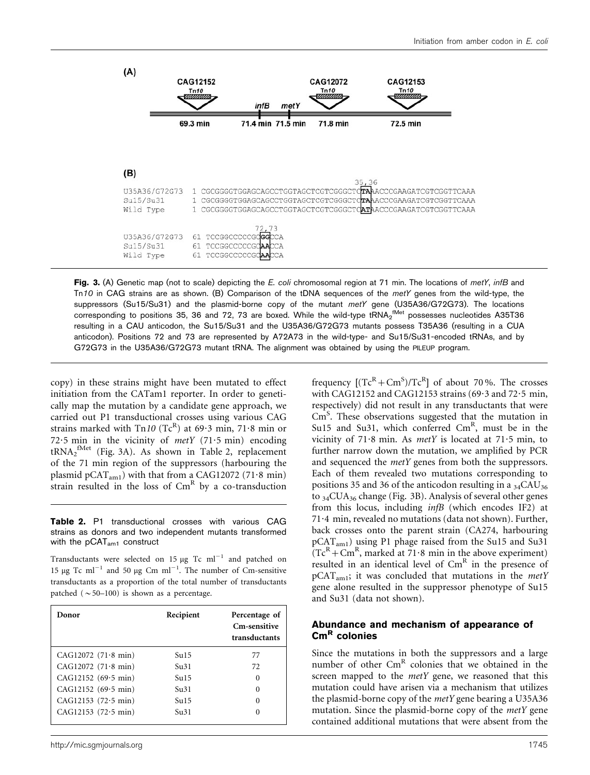

Fig. 3. (A) Genetic map (not to scale) depicting the E. coli chromosomal region at 71 min. The locations of metY, infB and Tn10 in CAG strains are as shown. (B) Comparison of the tDNA sequences of the metY genes from the wild-type, the suppressors (Su15/Su31) and the plasmid-borne copy of the mutant metY gene (U35A36/G72G73). The locations corresponding to positions 35, 36 and 72, 73 are boxed. While the wild-type t $\mathsf{RNA}_{2}^{\mathsf{fMet}}$  possesses nucleotides A35T36 resulting in a CAU anticodon, the Su15/Su31 and the U35A36/G72G73 mutants possess T35A36 (resulting in a CUA anticodon). Positions 72 and 73 are represented by A72A73 in the wild-type- and Su15/Su31-encoded tRNAs, and by G72G73 in the U35A36/G72G73 mutant tRNA. The alignment was obtained by using the PILEUP program.

copy) in these strains might have been mutated to effect initiation from the CATam1 reporter. In order to genetically map the mutation by a candidate gene approach, we carried out P1 transductional crosses using various CAG strains marked with  $\text{Tr}10 \left( \text{Tr}^{\text{R}} \right)$  at 69.3 min, 71.8 min or 72.5 min in the vicinity of metY (71.5 min) encoding tRNA<sub>2</sub><sup>fMet</sup> (Fig. 3A). As shown in Table 2, replacement of the 71 min region of the suppressors (harbouring the plasmid pCAT<sub>am1</sub>) with that from a CAG12072 (71 $\cdot$ 8 min) strain resulted in the loss of  $\text{Cm}^R$  by a co-transduction

Table 2. P1 transductional crosses with various CAG strains as donors and two independent mutants transformed with the  $pCAT_{am1}$  construct

Transductants were selected on 15  $\mu$ g Tc ml<sup>-1</sup> and patched on 15 µg Tc ml<sup>-1</sup> and 50 µg Cm ml<sup>-1</sup>. The number of Cm-sensitive transductants as a proportion of the total number of transductants patched ( $\sim$  50–100) is shown as a percentage.

| Donor               | Recipient   | Percentage of<br>Cm-sensitive<br>transductants |
|---------------------|-------------|------------------------------------------------|
| CAG12072 (71.8 min) | <b>Su15</b> | 77                                             |
| CAG12072 (71.8 min) | Su31        | 72                                             |
| CAG12152 (69.5 min) | $S_{11}15$  | 0                                              |
| CAG12152 (69.5 min) | Su31        |                                                |
| CAG12153 (72.5 min) | $S_{11}15$  | 0                                              |
| CAG12153 (72.5 min) | Su31        |                                                |

frequency  $[(Tc^R + Cm^S)/Tc^R]$  of about 70%. The crosses with CAG12152 and CAG12153 strains  $(69.3 \text{ and } 72.5 \text{ min}$ , respectively) did not result in any transductants that were  $\mathrm{Cm}^{\mathrm{S}}$ . These observations suggested that the mutation in Su15 and Su31, which conferred  $\mathrm{Cm}^R$ , must be in the vicinity of  $71.8$  min. As metY is located at  $71.5$  min, to further narrow down the mutation, we amplified by PCR and sequenced the *metY* genes from both the suppressors. Each of them revealed two mutations corresponding to positions 35 and 36 of the anticodon resulting in a  $_{34}CAU_{36}$ to  $_{34}$ CUA $_{36}$  change (Fig. 3B). Analysis of several other genes from this locus, including infB (which encodes IF2) at 71?4 min, revealed no mutations (data not shown). Further, back crosses onto the parent strain (CA274, harbouring  $pCAT_{am1}$ ) using P1 phage raised from the Su15 and Su31  $(Tc^{R} + Cm^{R}$ , marked at 71.8 min in the above experiment) resulted in an identical level of  $\text{Cm}^R$  in the presence of  $pCAT_{am1}$ ; it was concluded that mutations in the metY gene alone resulted in the suppressor phenotype of Su15 and Su31 (data not shown).

#### Abundance and mechanism of appearance of  $\textsf{Cm}^{\textsf{R}}$  colonies

Since the mutations in both the suppressors and a large number of other  $\text{Cm}^R$  colonies that we obtained in the screen mapped to the metY gene, we reasoned that this mutation could have arisen via a mechanism that utilizes the plasmid-borne copy of the metY gene bearing a U35A36 mutation. Since the plasmid-borne copy of the *metY* gene contained additional mutations that were absent from the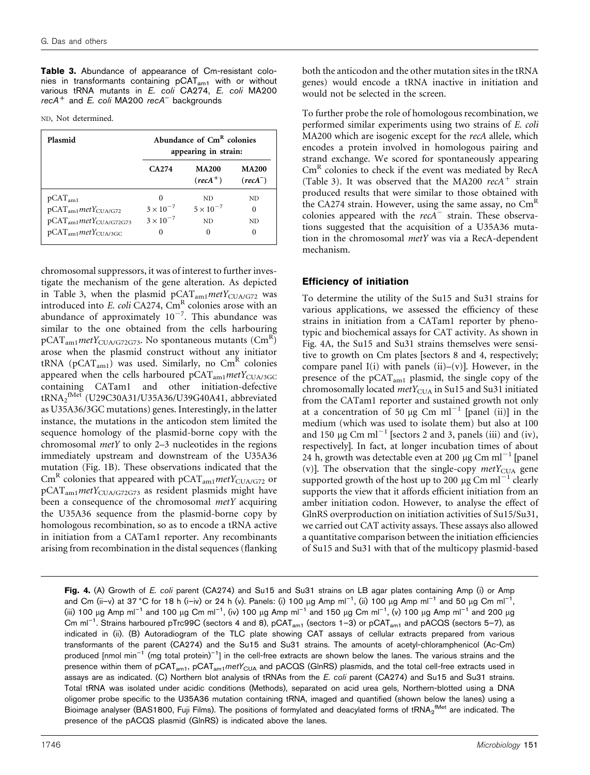Table 3. Abundance of appearance of Cm-resistant colonies in transformants containing  $pCAT_{am1}$  with or without various tRNA mutants in E. coli CA274, E. coli MA200  $recA<sup>+</sup>$  and *E. coli* MA200  $recA<sup>-</sup>$  backgrounds

ND, Not determined.

| Plasmid                                  | Abundance of Cm <sup>R</sup> colonies<br>appearing in strain: |                            |                              |
|------------------------------------------|---------------------------------------------------------------|----------------------------|------------------------------|
|                                          | CA274                                                         | <b>MA200</b><br>$(recA^+)$ | <b>MA200</b><br>$(recA^{-})$ |
| $pCAT_{am1}$                             |                                                               | ND.                        | ND.                          |
| $pCAT_{am1}metY_{\text{CUA/G72}}$        | $3 \times 10^{-7}$                                            | $5 \times 10^{-7}$         | 0                            |
| $pCAT_{am1}$ met $Y_{\text{CUA/G72G73}}$ | $3 \times 10^{-7}$                                            | ND.                        | ND.                          |
| $pCAT_{am1}$ met $Y_{\text{CUA/3GC}}$    |                                                               | 0                          | 0                            |

chromosomal suppressors, it was of interest to further investigate the mechanism of the gene alteration. As depicted in Table 3, when the plasmid  $pCAT_{am1}metY<sub>CUA/G72</sub>$  was introduced into E. coli CA274,  $\text{Cm}^R$  colonies arose with an abundance of approximately  $10^{-7}$ . This abundance was similar to the one obtained from the cells harbouring pCAT<sub>am1</sub> metY<sub>CUA/G72G73</sub>. No spontaneous mutants  $(\text{Cm}^{\text{R}})$ arose when the plasmid construct without any initiator tRNA ( $pCAT_{am1}$ ) was used. Similarly, no  $\text{Cm}^R$  colonies appeared when the cells harboured pCAT<sub>am1</sub>metY<sub>CUA/3GC</sub> containing CATam1 and other initiation-defective  $tRNA<sub>2</sub><sup>fMeV</sup>$  (U29C30A31/U35A36/U39G40A41, abbreviated as U35A36/3GC mutations) genes. Interestingly, in the latter instance, the mutations in the anticodon stem limited the sequence homology of the plasmid-borne copy with the chromosomal metY to only 2–3 nucleotides in the regions immediately upstream and downstream of the U35A36 mutation (Fig. 1B). These observations indicated that the Cm<sup>R</sup> colonies that appeared with pCAT<sub>am1</sub> metY<sub>CUA/G72</sub> or pCAT<sub>am1</sub>metY<sub>CUA/G72G73</sub> as resident plasmids might have been a consequence of the chromosomal *metY* acquiring the U35A36 sequence from the plasmid-borne copy by homologous recombination, so as to encode a tRNA active in initiation from a CATam1 reporter. Any recombinants arising from recombination in the distal sequences (flanking

both the anticodon and the other mutation sites in the tRNA genes) would encode a tRNA inactive in initiation and would not be selected in the screen.

To further probe the role of homologous recombination, we performed similar experiments using two strains of E. coli MA200 which are isogenic except for the recA allele, which encodes a protein involved in homologous pairing and strand exchange. We scored for spontaneously appearing  $\text{Cm}^R$  colonies to check if the event was mediated by RecA (Table 3). It was observed that the MA200  $recA^{+}$  strain produced results that were similar to those obtained with the CA274 strain. However, using the same assay, no  $\text{Cm}^R$ colonies appeared with the  $recA$ <sup>-</sup> strain. These observations suggested that the acquisition of a U35A36 mutation in the chromosomal metY was via a RecA-dependent mechanism.

#### Efficiency of initiation

To determine the utility of the Su15 and Su31 strains for various applications, we assessed the efficiency of these strains in initiation from a CATam1 reporter by phenotypic and biochemical assays for CAT activity. As shown in Fig. 4A, the Su15 and Su31 strains themselves were sensitive to growth on Cm plates [sectors 8 and 4, respectively; compare panel I(i) with panels  $(ii)$ – $(v)$ ]. However, in the presence of the pCATam1 plasmid, the single copy of the chromosomally located  $metY<sub>CUA</sub>$  in Su15 and Su31 initiated from the CATam1 reporter and sustained growth not only at a concentration of 50  $\mu$ g Cm ml<sup>-1</sup> [panel (ii)] in the medium (which was used to isolate them) but also at 100 and 150  $\mu$ g Cm ml<sup>-1</sup> [sectors 2 and 3, panels (iii) and (iv), respectively]. In fact, at longer incubation times of about 24 h, growth was detectable even at 200  $\mu$ g Cm ml<sup>-1</sup> [panel] (v)]. The observation that the single-copy  $metY<sub>CUA</sub>$  gene supported growth of the host up to 200  $\mu$ g Cm ml<sup>-1</sup> clearly supports the view that it affords efficient initiation from an amber initiation codon. However, to analyse the effect of GlnRS overproduction on initiation activities of Su15/Su31, we carried out CAT activity assays. These assays also allowed a quantitative comparison between the initiation efficiencies of Su15 and Su31 with that of the multicopy plasmid-based

Fig. 4. (A) Growth of E. coli parent (CA274) and Su15 and Su31 strains on LB agar plates containing Amp (i) or Amp and Cm (ii–v) at 37 °C for 18 h (i–iv) or 24 h (v). Panels: (i) 100 µg Amp ml<sup>-1</sup>, (ii) 100 µg Amp ml<sup>-1</sup> and 50 µg Cm ml<sup>-1</sup>, (iii) 100  $\mu$ g Amp ml $^{-1}$  and 100  $\mu$ g Cm ml $^{-1}$ , (iv) 100  $\mu$ g Amp ml $^{-1}$  and 150  $\mu$ g Cm ml $^{-1}$ , (v) 100  $\mu$ g Amp ml $^{-1}$  and 200  $\mu$ g Cm ml<sup>-1</sup>. Strains harboured pTrc99C (sectors 4 and 8), pCAT<sub>am1</sub> (sectors 1-3) or pCAT<sub>am1</sub> and pACQS (sectors 5-7), as indicated in (ii). (B) Autoradiogram of the TLC plate showing CAT assays of cellular extracts prepared from various transformants of the parent (CA274) and the Su15 and Su31 strains. The amounts of acetyl-chloramphenicol (Ac-Cm) produced [nmol min<sup>-1</sup> (mg total protein)<sup>-1</sup>] in the cell-free extracts are shown below the lanes. The various strains and the presence within them of pCAT<sub>am1</sub>, pCAT<sub>am1</sub> metY<sub>CUA</sub> and pACQS (GlnRS) plasmids, and the total cell-free extracts used in assays are as indicated. (C) Northern blot analysis of tRNAs from the E. coli parent (CA274) and Su15 and Su31 strains. Total tRNA was isolated under acidic conditions (Methods), separated on acid urea gels, Northern-blotted using a DNA oligomer probe specific to the U35A36 mutation containing tRNA, imaged and quantified (shown below the lanes) using a Bioimage analyser (BAS1800, Fuji Films). The positions of formylated and deacylated forms of tRNA2<sup>fMet</sup> are indicated. The presence of the pACQS plasmid (GlnRS) is indicated above the lanes.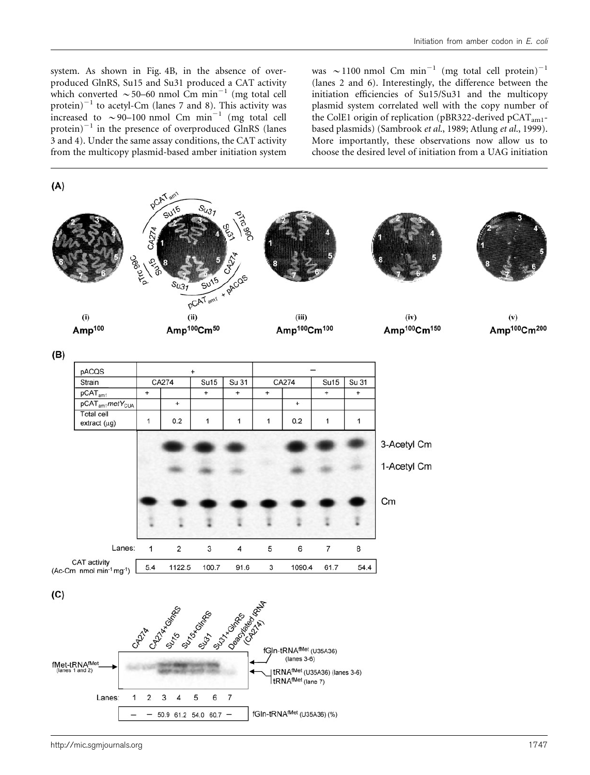system. As shown in Fig. 4B, in the absence of overproduced GlnRS, Su15 and Su31 produced a CAT activity which converted  $\sim$  50–60 nmol  $\text{Cm min}^{-1}$  (mg total cell protein) $^{-1}$  to acetyl-Cm (lanes 7 and 8). This activity was increased to  $\sim$  90–100 nmol Cm min<sup>-1</sup> (mg total cell protein) $^{-1}$  in the presence of overproduced GlnRS (lanes 3 and 4). Under the same assay conditions, the CAT activity from the multicopy plasmid-based amber initiation system was  $\sim$ 1100 nmol Cm min<sup>-1</sup> (mg total cell protein)<sup>-1</sup> (lanes 2 and 6). Interestingly, the difference between the initiation efficiencies of Su15/Su31 and the multicopy plasmid system correlated well with the copy number of the ColE1 origin of replication (pBR322-derived pCAT<sub>am1</sub>based plasmids) (Sambrook et al., 1989; Atlung et al., 1999). More importantly, these observations now allow us to choose the desired level of initiation from a UAG initiation

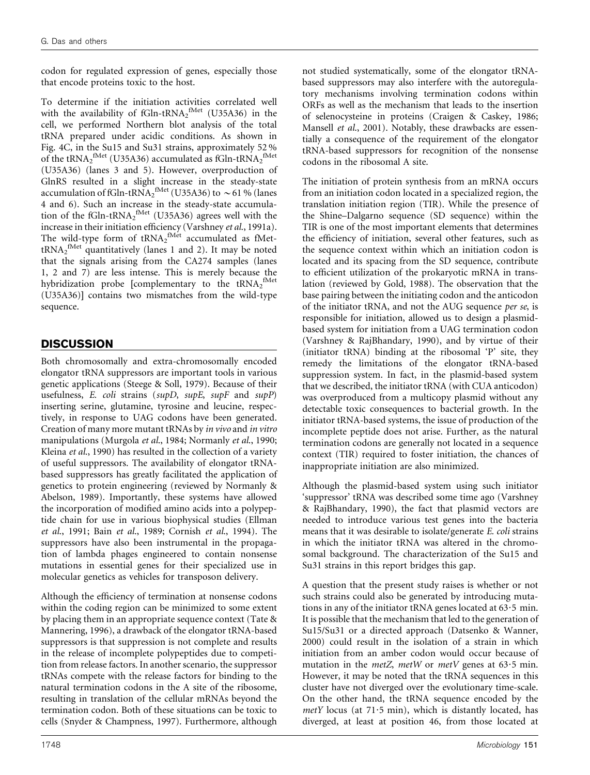codon for regulated expression of genes, especially those that encode proteins toxic to the host.

To determine if the initiation activities correlated well with the availability of fGln-tRNA<sub>2</sub><sup>fMet</sup> (U35A36) in the cell, we performed Northern blot analysis of the total tRNA prepared under acidic conditions. As shown in Fig. 4C, in the Su15 and Su31 strains, approximately 52 % of the  $\text{tRNA}_{2}^{\text{fMet}}$  (U35A36) accumulated as fGln-tRNA $_{2}^{\text{fMet}}$ (U35A36) (lanes 3 and 5). However, overproduction of GlnRS resulted in a slight increase in the steady-state accumulation of fGln-tRNA<sup>2fMet</sup> (U35A36) to  $\sim$  61 % (lanes 4 and 6). Such an increase in the steady-state accumulation of the fGln-tRNA<sub>2</sub><sup>fMet</sup> (U35A36) agrees well with the increase in their initiation efficiency (Varshney et al., 1991a). The wild-type form of  $tRNA<sub>2</sub><sup>fMét</sup>$  accumulated as fMet $tRNA<sub>2</sub><sup>fMet</sup>$  quantitatively (lanes 1 and 2). It may be noted that the signals arising from the CA274 samples (lanes 1, 2 and 7) are less intense. This is merely because the hybridization probe [complementary to the tRNA<sub>2</sub><sup>fMet</sup> (U35A36)] contains two mismatches from the wild-type sequence.

# **DISCUSSION**

Both chromosomally and extra-chromosomally encoded elongator tRNA suppressors are important tools in various genetic applications (Steege & Soll, 1979). Because of their usefulness, E. coli strains (supD, supE, supF and supP) inserting serine, glutamine, tyrosine and leucine, respectively, in response to UAG codons have been generated. Creation of many more mutant tRNAs by in vivo and in vitro manipulations (Murgola et al., 1984; Normanly et al., 1990; Kleina et al., 1990) has resulted in the collection of a variety of useful suppressors. The availability of elongator tRNAbased suppressors has greatly facilitated the application of genetics to protein engineering (reviewed by Normanly & Abelson, 1989). Importantly, these systems have allowed the incorporation of modified amino acids into a polypeptide chain for use in various biophysical studies (Ellman et al., 1991; Bain et al., 1989; Cornish et al., 1994). The suppressors have also been instrumental in the propagation of lambda phages engineered to contain nonsense mutations in essential genes for their specialized use in molecular genetics as vehicles for transposon delivery.

Although the efficiency of termination at nonsense codons within the coding region can be minimized to some extent by placing them in an appropriate sequence context (Tate & Mannering, 1996), a drawback of the elongator tRNA-based suppressors is that suppression is not complete and results in the release of incomplete polypeptides due to competition from release factors. In another scenario, the suppressor tRNAs compete with the release factors for binding to the natural termination codons in the A site of the ribosome, resulting in translation of the cellular mRNAs beyond the termination codon. Both of these situations can be toxic to cells (Snyder & Champness, 1997). Furthermore, although

not studied systematically, some of the elongator tRNAbased suppressors may also interfere with the autoregulatory mechanisms involving termination codons within ORFs as well as the mechanism that leads to the insertion of selenocysteine in proteins (Craigen & Caskey, 1986; Mansell et al., 2001). Notably, these drawbacks are essentially a consequence of the requirement of the elongator tRNA-based suppressors for recognition of the nonsense codons in the ribosomal A site.

The initiation of protein synthesis from an mRNA occurs from an initiation codon located in a specialized region, the translation initiation region (TIR). While the presence of the Shine–Dalgarno sequence (SD sequence) within the TIR is one of the most important elements that determines the efficiency of initiation, several other features, such as the sequence context within which an initiation codon is located and its spacing from the SD sequence, contribute to efficient utilization of the prokaryotic mRNA in translation (reviewed by Gold, 1988). The observation that the base pairing between the initiating codon and the anticodon of the initiator tRNA, and not the AUG sequence per se, is responsible for initiation, allowed us to design a plasmidbased system for initiation from a UAG termination codon (Varshney & RajBhandary, 1990), and by virtue of their (initiator tRNA) binding at the ribosomal 'P' site, they remedy the limitations of the elongator tRNA-based suppression system. In fact, in the plasmid-based system that we described, the initiator tRNA (with CUA anticodon) was overproduced from a multicopy plasmid without any detectable toxic consequences to bacterial growth. In the initiator tRNA-based systems, the issue of production of the incomplete peptide does not arise. Further, as the natural termination codons are generally not located in a sequence context (TIR) required to foster initiation, the chances of inappropriate initiation are also minimized.

Although the plasmid-based system using such initiator 'suppressor' tRNA was described some time ago (Varshney & RajBhandary, 1990), the fact that plasmid vectors are needed to introduce various test genes into the bacteria means that it was desirable to isolate/generate E. coli strains in which the initiator tRNA was altered in the chromosomal background. The characterization of the Su15 and Su31 strains in this report bridges this gap.

A question that the present study raises is whether or not such strains could also be generated by introducing mutations in any of the initiator tRNA genes located at  $63.5$  min. It is possible that the mechanism that led to the generation of Su15/Su31 or a directed approach (Datsenko & Wanner, 2000) could result in the isolation of a strain in which initiation from an amber codon would occur because of mutation in the *metZ*, *metW* or *metV* genes at  $63.5$  min. However, it may be noted that the tRNA sequences in this cluster have not diverged over the evolutionary time-scale. On the other hand, the tRNA sequence encoded by the metY locus (at  $71·5$  min), which is distantly located, has diverged, at least at position 46, from those located at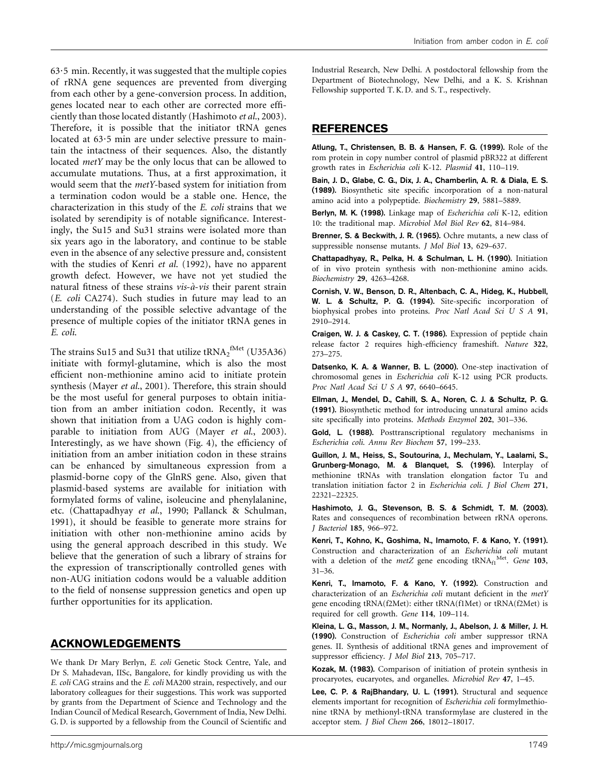$63.5$  min. Recently, it was suggested that the multiple copies of rRNA gene sequences are prevented from diverging from each other by a gene-conversion process. In addition, genes located near to each other are corrected more efficiently than those located distantly (Hashimoto et al., 2003). Therefore, it is possible that the initiator tRNA genes located at  $63.5$  min are under selective pressure to maintain the intactness of their sequences. Also, the distantly located metY may be the only locus that can be allowed to accumulate mutations. Thus, at a first approximation, it would seem that the metY-based system for initiation from a termination codon would be a stable one. Hence, the characterization in this study of the E. coli strains that we isolated by serendipity is of notable significance. Interestingly, the Su15 and Su31 strains were isolated more than six years ago in the laboratory, and continue to be stable even in the absence of any selective pressure and, consistent with the studies of Kenri et al. (1992), have no apparent growth defect. However, we have not yet studied the natural fitness of these strains vis-à-vis their parent strain (E. coli CA274). Such studies in future may lead to an understanding of the possible selective advantage of the presence of multiple copies of the initiator tRNA genes in E. coli.

The strains Su15 and Su31 that utilize  $\text{tRNA}_{2}^{\text{fMet}}$  (U35A36) initiate with formyl-glutamine, which is also the most efficient non-methionine amino acid to initiate protein synthesis (Mayer et al., 2001). Therefore, this strain should be the most useful for general purposes to obtain initiation from an amber initiation codon. Recently, it was shown that initiation from a UAG codon is highly comparable to initiation from AUG (Mayer et al., 2003). Interestingly, as we have shown (Fig. 4), the efficiency of initiation from an amber initiation codon in these strains can be enhanced by simultaneous expression from a plasmid-borne copy of the GlnRS gene. Also, given that plasmid-based systems are available for initiation with formylated forms of valine, isoleucine and phenylalanine, etc. (Chattapadhyay et al., 1990; Pallanck & Schulman, 1991), it should be feasible to generate more strains for initiation with other non-methionine amino acids by using the general approach described in this study. We believe that the generation of such a library of strains for the expression of transcriptionally controlled genes with non-AUG initiation codons would be a valuable addition to the field of nonsense suppression genetics and open up further opportunities for its application.

## ACKNOWLEDGEMENTS

We thank Dr Mary Berlyn, E. coli Genetic Stock Centre, Yale, and Dr S. Mahadevan, IISc, Bangalore, for kindly providing us with the E. coli CAG strains and the E. coli MA200 strain, respectively, and our laboratory colleagues for their suggestions. This work was supported by grants from the Department of Science and Technology and the Indian Council of Medical Research, Government of India, New Delhi. G. D. is supported by a fellowship from the Council of Scientific and Industrial Research, New Delhi. A postdoctoral fellowship from the Department of Biotechnology, New Delhi, and a K. S. Krishnan Fellowship supported T. K. D. and S. T., respectively.

## REFERENCES

Atlung, T., Christensen, B. B. & Hansen, F. G. (1999). Role of the rom protein in copy number control of plasmid pBR322 at different growth rates in Escherichia coli K-12. Plasmid 41, 110–119.

Bain, J. D., Glabe, C. G., Dix, J. A., Chamberlin, A. R. & Diala, E. S. (1989). Biosynthetic site specific incorporation of a non-natural amino acid into a polypeptide. Biochemistry 29, 5881–5889.

Berlyn, M. K. (1998). Linkage map of Escherichia coli K-12, edition 10: the traditional map. Microbiol Mol Biol Rev 62, 814–984.

Brenner, S. & Beckwith, J. R. (1965). Ochre mutants, a new class of suppressible nonsense mutants. J Mol Biol 13, 629–637.

Chattapadhyay, R., Pelka, H. & Schulman, L. H. (1990). Initiation of in vivo protein synthesis with non-methionine amino acids. Biochemistry 29, 4263–4268.

Cornish, V. W., Benson, D. R., Altenbach, C. A., Hideg, K., Hubbell, W. L. & Schultz, P. G. (1994). Site-specific incorporation of biophysical probes into proteins. Proc Natl Acad Sci U S A 91, 2910–2914.

Craigen, W. J. & Caskey, C. T. (1986). Expression of peptide chain release factor 2 requires high-efficiency frameshift. Nature 322, 273–275.

Datsenko, K. A. & Wanner, B. L. (2000). One-step inactivation of chromosomal genes in Escherichia coli K-12 using PCR products. Proc Natl Acad Sci U S A 97, 6640–6645.

Ellman, J., Mendel, D., Cahill, S. A., Noren, C. J. & Schultz, P. G. (1991). Biosynthetic method for introducing unnatural amino acids site specifically into proteins. Methods Enzymol 202, 301–336.

Gold, L. (1988). Posttranscriptional regulatory mechanisms in Escherichia coli. Annu Rev Biochem 57, 199–233.

Guillon, J. M., Heiss, S., Soutourina, J., Mechulam, Y., Laalami, S., Grunberg-Monago, M. & Blanquet, S. (1996). Interplay of methionine tRNAs with translation elongation factor Tu and translation initiation factor 2 in Escherichia coli. J Biol Chem 271, 22321–22325.

Hashimoto, J. G., Stevenson, B. S. & Schmidt, T. M. (2003). Rates and consequences of recombination between rRNA operons. J Bacteriol 185, 966–972.

Kenri, T., Kohno, K., Goshima, N., Imamoto, F. & Kano, Y. (1991). Construction and characterization of an Escherichia coli mutant with a deletion of the metZ gene encoding tRNA $_{f1}^{Met}$ . Gene 103, 31–36.

Kenri, T., Imamoto, F. & Kano, Y. (1992). Construction and characterization of an Escherichia coli mutant deficient in the metY gene encoding tRNA(f2Met): either tRNA(f1Met) or tRNA(f2Met) is required for cell growth. Gene 114, 109–114.

Kleina, L. G., Masson, J. M., Normanly, J., Abelson, J. & Miller, J. H. (1990). Construction of Escherichia coli amber suppressor tRNA genes. II. Synthesis of additional tRNA genes and improvement of suppressor efficiency. J Mol Biol 213, 705–717.

Kozak, M. (1983). Comparison of initiation of protein synthesis in procaryotes, eucaryotes, and organelles. Microbiol Rev 47, 1–45.

Lee, C. P. & RajBhandary, U. L. (1991). Structural and sequence elements important for recognition of Escherichia coli formylmethionine tRNA by methionyl-tRNA transformylase are clustered in the acceptor stem. J Biol Chem 266, 18012–18017.